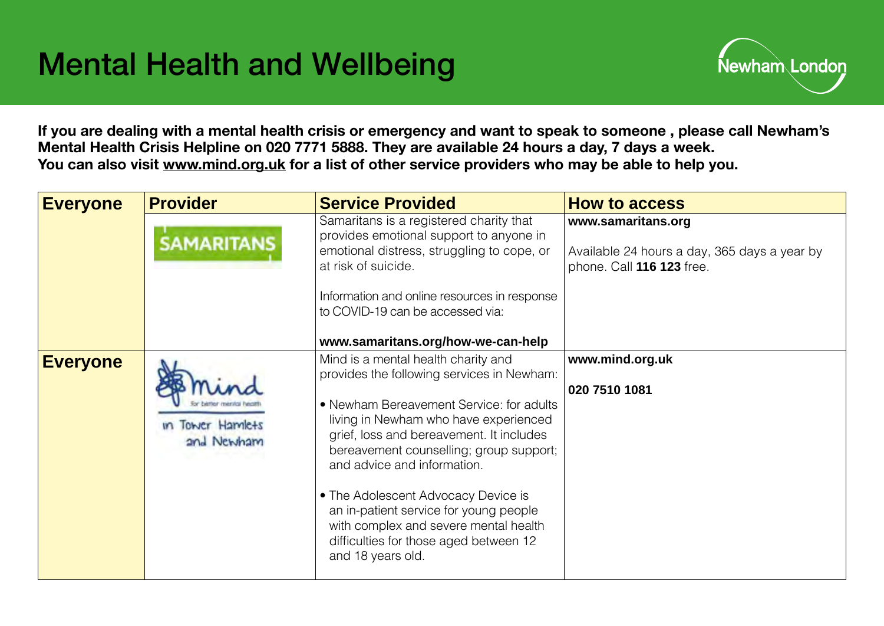

**If you are dealing with a mental health crisis or emergency and want to speak to someone , please call Newham's Mental Health Crisis Helpline on 020 7771 5888. They are available 24 hours a day, 7 days a week. You can also visit [www.mind.org.uk](http://www.mind.org.uk) for a list of other service providers who may be able to help you.** 

| <b>Everyone</b> | <b>Provider</b>                    | <b>Service Provided</b>                                                                                                                                                                                                                                                                                                                                                                                                                                                               | <b>How to access</b>                                                                            |
|-----------------|------------------------------------|---------------------------------------------------------------------------------------------------------------------------------------------------------------------------------------------------------------------------------------------------------------------------------------------------------------------------------------------------------------------------------------------------------------------------------------------------------------------------------------|-------------------------------------------------------------------------------------------------|
|                 | <b>SAMARITANS</b>                  | Samaritans is a registered charity that<br>provides emotional support to anyone in<br>emotional distress, struggling to cope, or<br>at risk of suicide.                                                                                                                                                                                                                                                                                                                               | www.samaritans.org<br>Available 24 hours a day, 365 days a year by<br>phone. Call 116 123 free. |
|                 |                                    | Information and online resources in response<br>to COVID-19 can be accessed via:                                                                                                                                                                                                                                                                                                                                                                                                      |                                                                                                 |
|                 |                                    | www.samaritans.org/how-we-can-help                                                                                                                                                                                                                                                                                                                                                                                                                                                    |                                                                                                 |
| <b>Everyone</b> | <b>Tower Hamlets</b><br>and Newham | Mind is a mental health charity and<br>provides the following services in Newham:<br>• Newham Bereavement Service: for adults<br>living in Newham who have experienced<br>grief, loss and bereavement. It includes<br>bereavement counselling; group support;<br>and advice and information.<br>• The Adolescent Advocacy Device is<br>an in-patient service for young people<br>with complex and severe mental health<br>difficulties for those aged between 12<br>and 18 years old. | www.mind.org.uk<br>020 7510 1081                                                                |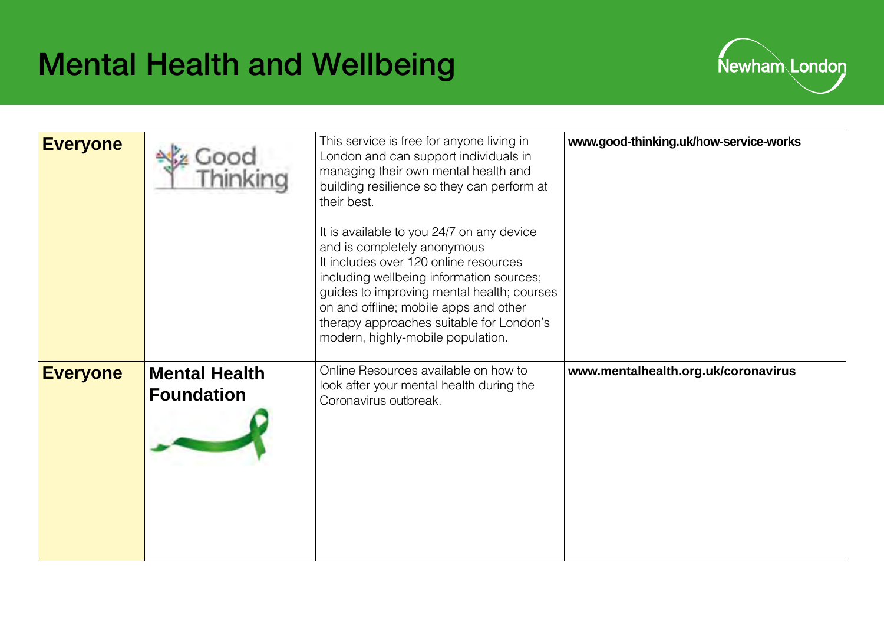

| <b>Everyone</b> |                                           | This service is free for anyone living in<br>London and can support individuals in<br>managing their own mental health and<br>building resilience so they can perform at<br>their best.<br>It is available to you 24/7 on any device<br>and is completely anonymous<br>It includes over 120 online resources<br>including wellbeing information sources;<br>guides to improving mental health; courses<br>on and offline; mobile apps and other<br>therapy approaches suitable for London's<br>modern, highly-mobile population. | www.good-thinking.uk/how-service-works |
|-----------------|-------------------------------------------|----------------------------------------------------------------------------------------------------------------------------------------------------------------------------------------------------------------------------------------------------------------------------------------------------------------------------------------------------------------------------------------------------------------------------------------------------------------------------------------------------------------------------------|----------------------------------------|
| <b>Everyone</b> | <b>Mental Health</b><br><b>Foundation</b> | Online Resources available on how to<br>look after your mental health during the<br>Coronavirus outbreak.                                                                                                                                                                                                                                                                                                                                                                                                                        | www.mentalhealth.org.uk/coronavirus    |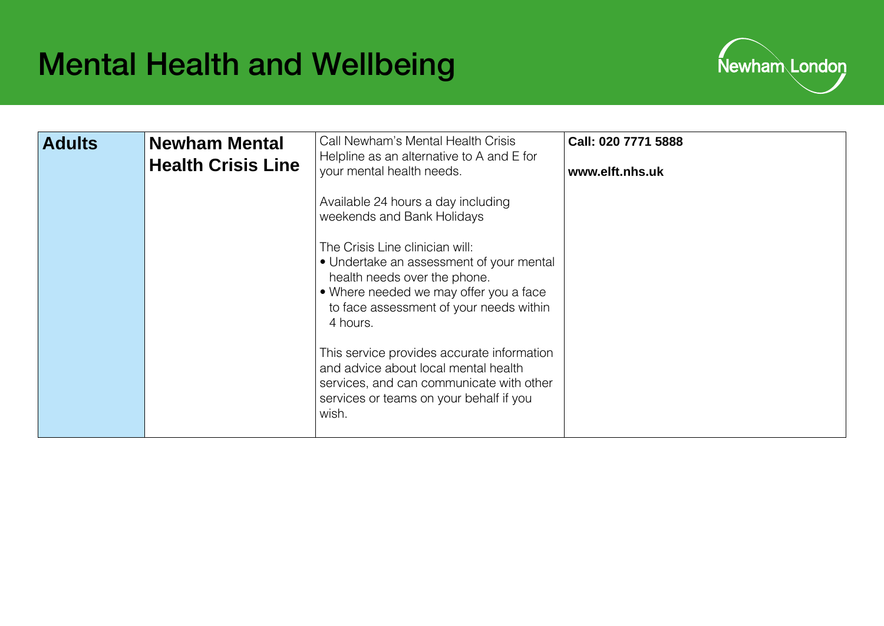

| <b>Adults</b> | <b>Newham Mental</b><br><b>Health Crisis Line</b> | Call Newham's Mental Health Crisis<br>Helpline as an alternative to A and E for<br>your mental health needs.<br>Available 24 hours a day including<br>weekends and Bank Holidays<br>The Crisis Line clinician will:<br>• Undertake an assessment of your mental<br>health needs over the phone.<br>• Where needed we may offer you a face<br>to face assessment of your needs within<br>4 hours.<br>This service provides accurate information<br>and advice about local mental health | Call: 020 7771 5888<br>www.elft.nhs.uk |
|---------------|---------------------------------------------------|----------------------------------------------------------------------------------------------------------------------------------------------------------------------------------------------------------------------------------------------------------------------------------------------------------------------------------------------------------------------------------------------------------------------------------------------------------------------------------------|----------------------------------------|
|               |                                                   | services, and can communicate with other<br>services or teams on your behalf if you<br>wish.                                                                                                                                                                                                                                                                                                                                                                                           |                                        |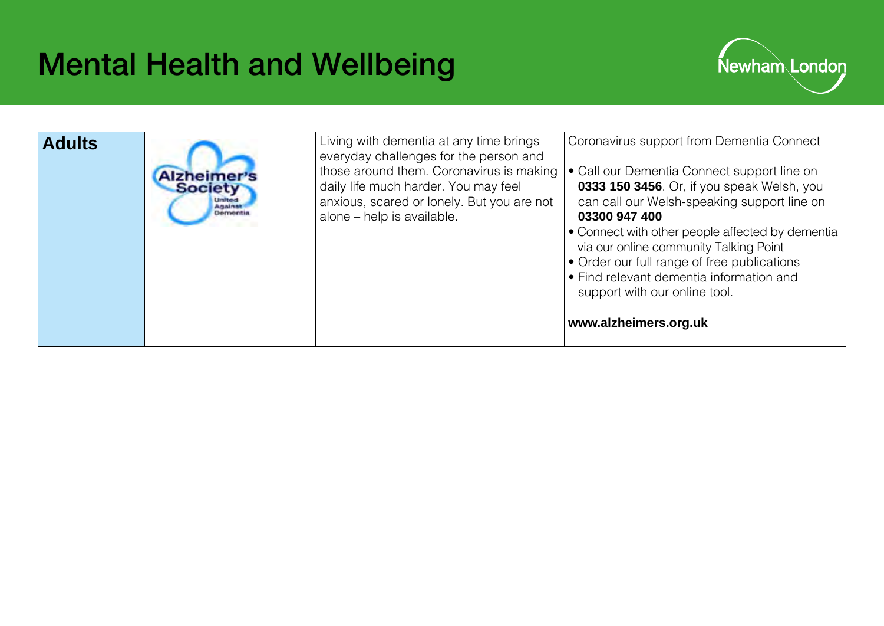

| <b>Adults</b><br><b>Society</b><br><b>United</b><br>Analnst | Living with dementia at any time brings<br>everyday challenges for the person and<br>those around them. Coronavirus is making<br>daily life much harder. You may feel<br>anxious, scared or lonely. But you are not<br>alone - help is available. | Coronavirus support from Dementia Connect<br>• Call our Dementia Connect support line on<br>0333 150 3456. Or, if you speak Welsh, you<br>can call our Welsh-speaking support line on<br>03300 947 400<br>• Connect with other people affected by dementia<br>via our online community Talking Point<br>• Order our full range of free publications<br>• Find relevant dementia information and<br>support with our online tool.<br>www.alzheimers.org.uk |
|-------------------------------------------------------------|---------------------------------------------------------------------------------------------------------------------------------------------------------------------------------------------------------------------------------------------------|-----------------------------------------------------------------------------------------------------------------------------------------------------------------------------------------------------------------------------------------------------------------------------------------------------------------------------------------------------------------------------------------------------------------------------------------------------------|
|-------------------------------------------------------------|---------------------------------------------------------------------------------------------------------------------------------------------------------------------------------------------------------------------------------------------------|-----------------------------------------------------------------------------------------------------------------------------------------------------------------------------------------------------------------------------------------------------------------------------------------------------------------------------------------------------------------------------------------------------------------------------------------------------------|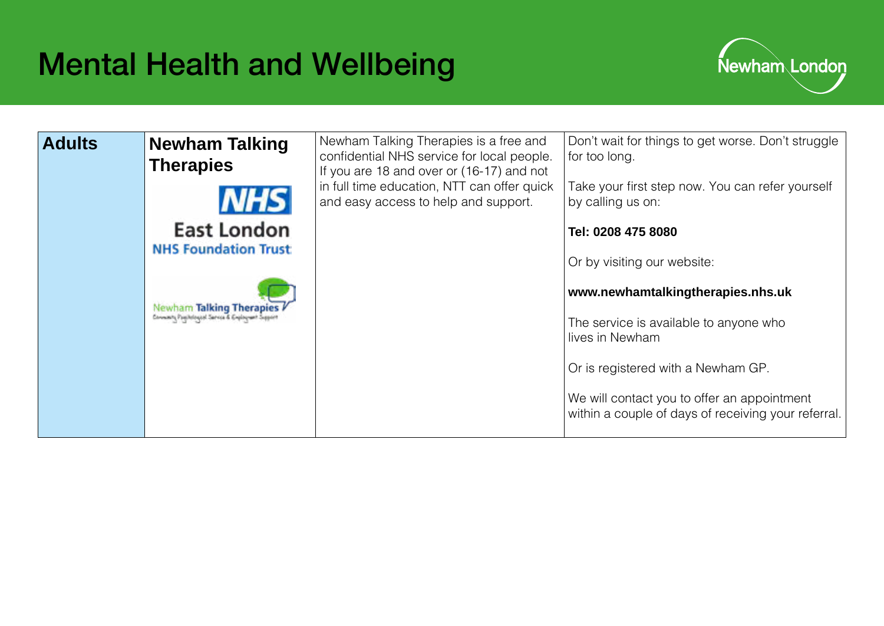

| <b>Adults</b> | <b>Newham Talking</b><br><b>Therapies</b><br><b>NHS</b>                 | Newham Talking Therapies is a free and<br>confidential NHS service for local people.<br>If you are 18 and over or (16-17) and not<br>in full time education, NTT can offer quick<br>and easy access to help and support. | Don't wait for things to get worse. Don't struggle<br>for too long.<br>Take your first step now. You can refer yourself<br>by calling us on: |
|---------------|-------------------------------------------------------------------------|--------------------------------------------------------------------------------------------------------------------------------------------------------------------------------------------------------------------------|----------------------------------------------------------------------------------------------------------------------------------------------|
|               | <b>East London</b>                                                      |                                                                                                                                                                                                                          | Tel: 0208 475 8080                                                                                                                           |
|               | <b>NHS Foundation Trust</b>                                             |                                                                                                                                                                                                                          | Or by visiting our website:                                                                                                                  |
|               |                                                                         |                                                                                                                                                                                                                          | www.newhamtalkingtherapies.nhs.uk                                                                                                            |
|               | Newham Talking Therapies<br>Connects Passicious Carros & Copingwet Sept |                                                                                                                                                                                                                          | The service is available to anyone who<br>lives in Newham                                                                                    |
|               |                                                                         |                                                                                                                                                                                                                          | Or is registered with a Newham GP.                                                                                                           |
|               |                                                                         |                                                                                                                                                                                                                          | We will contact you to offer an appointment<br>within a couple of days of receiving your referral.                                           |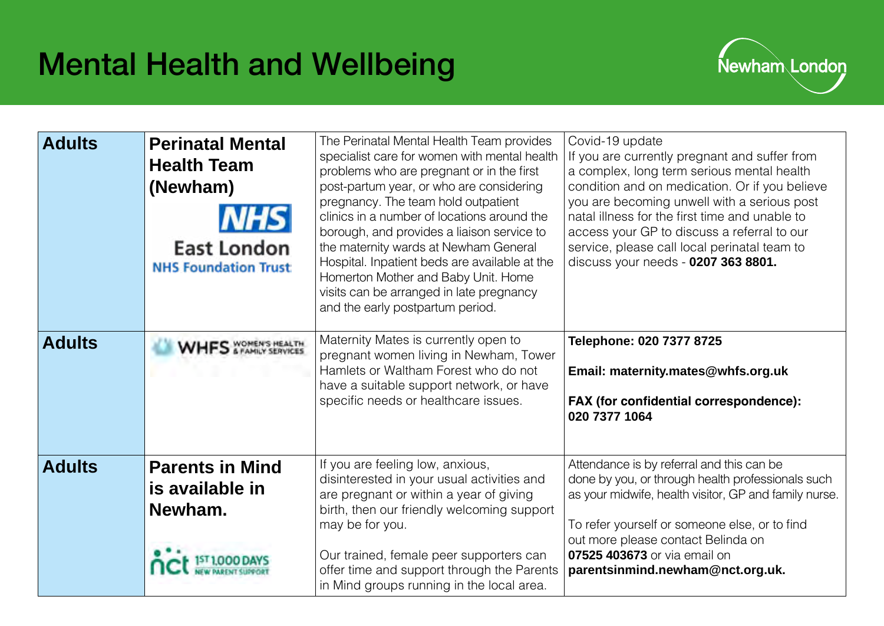

| <b>Adults</b> | <b>Perinatal Mental</b><br><b>Health Team</b><br>(Newham)<br><b>NHS</b><br><b>East London</b><br><b>NHS Foundation Trust</b> | The Perinatal Mental Health Team provides<br>specialist care for women with mental health<br>problems who are pregnant or in the first<br>post-partum year, or who are considering<br>pregnancy. The team hold outpatient<br>clinics in a number of locations around the<br>borough, and provides a liaison service to<br>the maternity wards at Newham General<br>Hospital. Inpatient beds are available at the<br>Homerton Mother and Baby Unit. Home<br>visits can be arranged in late pregnancy<br>and the early postpartum period. | Covid-19 update<br>If you are currently pregnant and suffer from<br>a complex, long term serious mental health<br>condition and on medication. Or if you believe<br>you are becoming unwell with a serious post<br>natal illness for the first time and unable to<br>access your GP to discuss a referral to our<br>service, please call local perinatal team to<br>discuss your needs - 0207 363 8801. |
|---------------|------------------------------------------------------------------------------------------------------------------------------|-----------------------------------------------------------------------------------------------------------------------------------------------------------------------------------------------------------------------------------------------------------------------------------------------------------------------------------------------------------------------------------------------------------------------------------------------------------------------------------------------------------------------------------------|---------------------------------------------------------------------------------------------------------------------------------------------------------------------------------------------------------------------------------------------------------------------------------------------------------------------------------------------------------------------------------------------------------|
| <b>Adults</b> | WHES WOMEN'S HEALTH                                                                                                          | Maternity Mates is currently open to<br>pregnant women living in Newham, Tower<br>Hamlets or Waltham Forest who do not<br>have a suitable support network, or have<br>specific needs or healthcare issues.                                                                                                                                                                                                                                                                                                                              | Telephone: 020 7377 8725<br>Email: maternity.mates@whfs.org.uk<br>FAX (for confidential correspondence):<br>020 7377 1064                                                                                                                                                                                                                                                                               |
| <b>Adults</b> | <b>Parents in Mind</b><br>is available in<br>Newham.                                                                         | If you are feeling low, anxious,<br>disinterested in your usual activities and<br>are pregnant or within a year of giving<br>birth, then our friendly welcoming support<br>may be for you.<br>Our trained, female peer supporters can<br>offer time and support through the Parents<br>in Mind groups running in the local area.                                                                                                                                                                                                        | Attendance is by referral and this can be<br>done by you, or through health professionals such<br>as your midwife, health visitor, GP and family nurse.<br>To refer yourself or someone else, or to find<br>out more please contact Belinda on<br>07525 403673 or via email on<br>parentsinmind.newham@nct.org.uk.                                                                                      |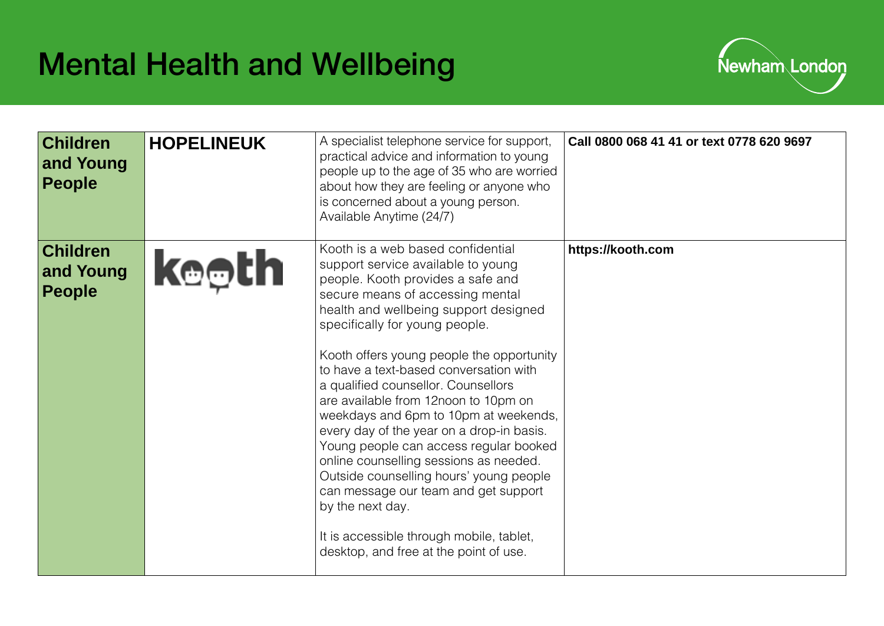

| <b>Children</b><br>and Young<br><b>People</b> | <b>HOPELINEUK</b> | A specialist telephone service for support,<br>practical advice and information to young<br>people up to the age of 35 who are worried<br>about how they are feeling or anyone who<br>is concerned about a young person.<br>Available Anytime (24/7)                                                                                                                                                                                                                                                                                                                                                                                                                                                                                                                     | Call 0800 068 41 41 or text 0778 620 9697 |
|-----------------------------------------------|-------------------|--------------------------------------------------------------------------------------------------------------------------------------------------------------------------------------------------------------------------------------------------------------------------------------------------------------------------------------------------------------------------------------------------------------------------------------------------------------------------------------------------------------------------------------------------------------------------------------------------------------------------------------------------------------------------------------------------------------------------------------------------------------------------|-------------------------------------------|
| <b>Children</b><br>and Young<br><b>People</b> | <b>keeth</b>      | Kooth is a web based confidential<br>support service available to young<br>people. Kooth provides a safe and<br>secure means of accessing mental<br>health and wellbeing support designed<br>specifically for young people.<br>Kooth offers young people the opportunity<br>to have a text-based conversation with<br>a qualified counsellor. Counsellors<br>are available from 12noon to 10pm on<br>weekdays and 6pm to 10pm at weekends,<br>every day of the year on a drop-in basis.<br>Young people can access regular booked<br>online counselling sessions as needed.<br>Outside counselling hours' young people<br>can message our team and get support<br>by the next day.<br>It is accessible through mobile, tablet,<br>desktop, and free at the point of use. | https://kooth.com                         |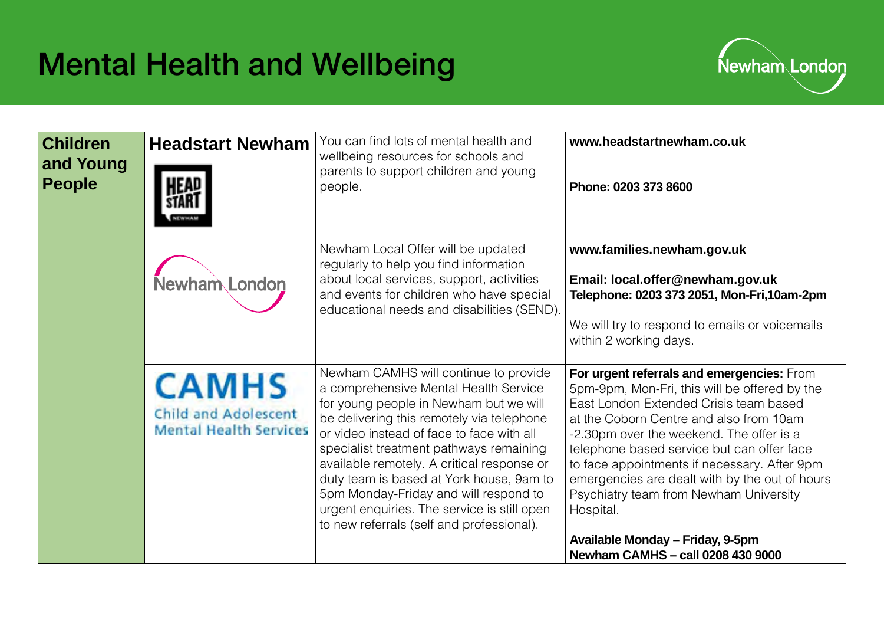

| <b>Children</b><br>and Young<br><b>People</b> | <b>Headstart Newham</b>                                                      | You can find lots of mental health and<br>wellbeing resources for schools and<br>parents to support children and young<br>people.                                                                                                                                                                                                                                                                                                                                                            | www.headstartnewham.co.uk<br>Phone: 0203 373 8600                                                                                                                                                                                                                                                                                                                                                                                                                                                            |
|-----------------------------------------------|------------------------------------------------------------------------------|----------------------------------------------------------------------------------------------------------------------------------------------------------------------------------------------------------------------------------------------------------------------------------------------------------------------------------------------------------------------------------------------------------------------------------------------------------------------------------------------|--------------------------------------------------------------------------------------------------------------------------------------------------------------------------------------------------------------------------------------------------------------------------------------------------------------------------------------------------------------------------------------------------------------------------------------------------------------------------------------------------------------|
|                                               | Newham London                                                                | Newham Local Offer will be updated<br>regularly to help you find information<br>about local services, support, activities<br>and events for children who have special<br>educational needs and disabilities (SEND).                                                                                                                                                                                                                                                                          | www.families.newham.gov.uk<br>Email: local.offer@newham.gov.uk<br>Telephone: 0203 373 2051, Mon-Fri, 10am-2pm<br>We will try to respond to emails or voicemails<br>within 2 working days.                                                                                                                                                                                                                                                                                                                    |
|                                               | <b>CAMHS</b><br><b>Child and Adolescent</b><br><b>Mental Health Services</b> | Newham CAMHS will continue to provide<br>a comprehensive Mental Health Service<br>for young people in Newham but we will<br>be delivering this remotely via telephone<br>or video instead of face to face with all<br>specialist treatment pathways remaining<br>available remotely. A critical response or<br>duty team is based at York house, 9am to<br>5pm Monday-Friday and will respond to<br>urgent enquiries. The service is still open<br>to new referrals (self and professional). | For urgent referrals and emergencies: From<br>5pm-9pm, Mon-Fri, this will be offered by the<br>East London Extended Crisis team based<br>at the Coborn Centre and also from 10am<br>-2.30pm over the weekend. The offer is a<br>telephone based service but can offer face<br>to face appointments if necessary. After 9pm<br>emergencies are dealt with by the out of hours<br>Psychiatry team from Newham University<br>Hospital.<br>Available Monday - Friday, 9-5pm<br>Newham CAMHS - call 0208 430 9000 |